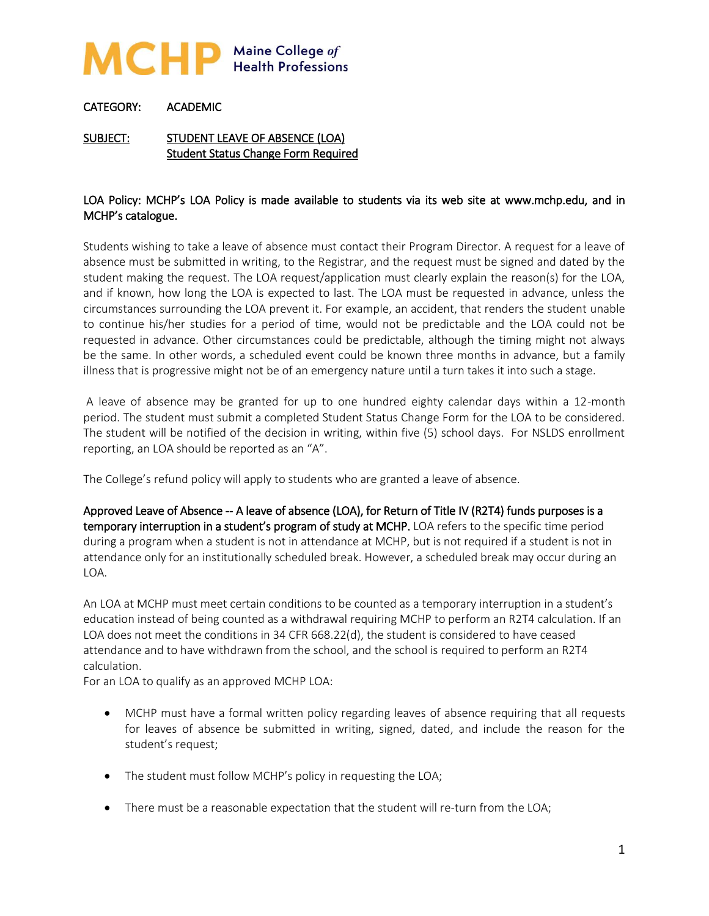

## CATEGORY: ACADEMIC

SUBJECT: STUDENT LEAVE OF ABSENCE (LOA) Student Status Change Form Required

## LOA Policy: MCHP's LOA Policy is made available to students via its web site at www.mchp.edu, and in MCHP's catalogue.

Students wishing to take a leave of absence must contact their Program Director. A request for a leave of absence must be submitted in writing, to the Registrar, and the request must be signed and dated by the student making the request. The LOA request/application must clearly explain the reason(s) for the LOA, and if known, how long the LOA is expected to last. The LOA must be requested in advance, unless the circumstances surrounding the LOA prevent it. For example, an accident, that renders the student unable to continue his/her studies for a period of time, would not be predictable and the LOA could not be requested in advance. Other circumstances could be predictable, although the timing might not always be the same. In other words, a scheduled event could be known three months in advance, but a family illness that is progressive might not be of an emergency nature until a turn takes it into such a stage.

A leave of absence may be granted for up to one hundred eighty calendar days within a 12-month period. The student must submit a completed Student Status Change Form for the LOA to be considered. The student will be notified of the decision in writing, within five (5) school days. For NSLDS enrollment reporting, an LOA should be reported as an "A".

The College's refund policy will apply to students who are granted a leave of absence.

Approved Leave of Absence -- A leave of absence (LOA), for Return of Title IV (R2T4) funds purposes is a temporary interruption in a student's program of study at MCHP. LOA refers to the specific time period during a program when a student is not in attendance at MCHP, but is not required if a student is not in attendance only for an institutionally scheduled break. However, a scheduled break may occur during an LOA.

An LOA at MCHP must meet certain conditions to be counted as a temporary interruption in a student's education instead of being counted as a withdrawal requiring MCHP to perform an R2T4 calculation. If an LOA does not meet the conditions in 34 CFR 668.22(d), the student is considered to have ceased attendance and to have withdrawn from the school, and the school is required to perform an R2T4 calculation.

For an LOA to qualify as an approved MCHP LOA:

- MCHP must have a formal written policy regarding leaves of absence requiring that all requests for leaves of absence be submitted in writing, signed, dated, and include the reason for the student's request;
- The student must follow MCHP's policy in requesting the LOA;
- There must be a reasonable expectation that the student will re-turn from the LOA;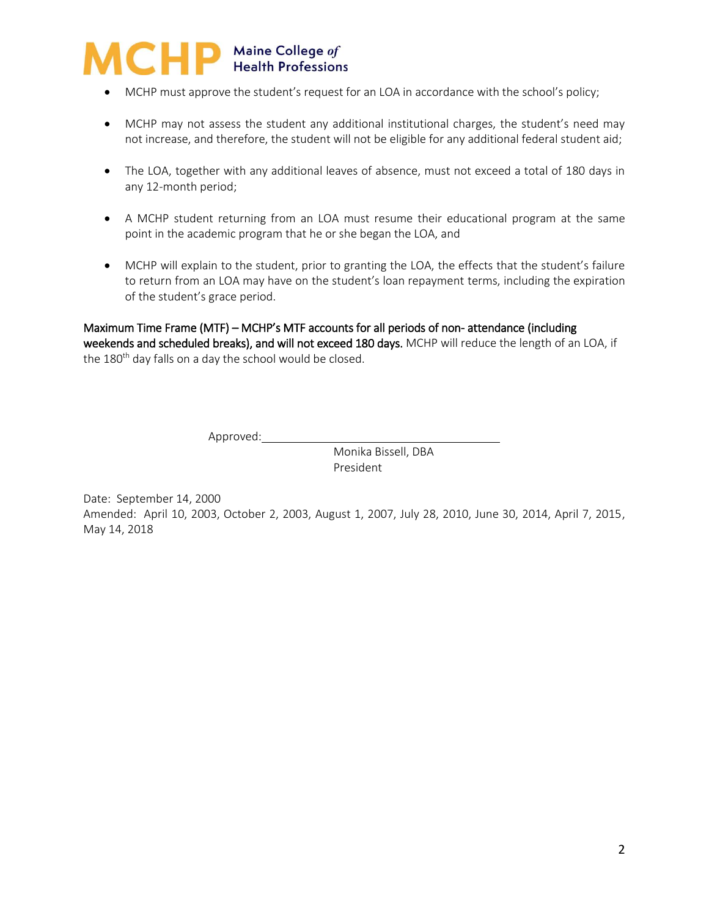

- MCHP must approve the student's request for an LOA in accordance with the school's policy;
- MCHP may not assess the student any additional institutional charges, the student's need may not increase, and therefore, the student will not be eligible for any additional federal student aid;
- The LOA, together with any additional leaves of absence, must not exceed a total of 180 days in any 12-month period;
- A MCHP student returning from an LOA must resume their educational program at the same point in the academic program that he or she began the LOA, and
- MCHP will explain to the student, prior to granting the LOA, the effects that the student's failure to return from an LOA may have on the student's loan repayment terms, including the expiration of the student's grace period.

Maximum Time Frame (MTF) – MCHP's MTF accounts for all periods of non- attendance (including weekends and scheduled breaks), and will not exceed 180 days. MCHP will reduce the length of an LOA, if the  $180<sup>th</sup>$  day falls on a day the school would be closed.

Approved: \_\_\_\_\_\_\_\_\_\_\_\_\_

Monika Bissell, DBA President

Date: September 14, 2000 Amended: April 10, 2003, October 2, 2003, August 1, 2007, July 28, 2010, June 30, 2014, April 7, 2015, May 14, 2018